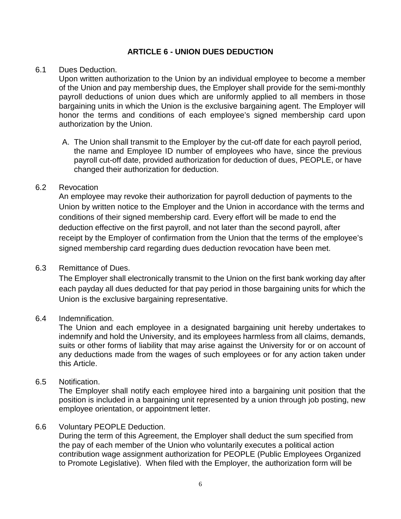# **ARTICLE 6 - UNION DUES DEDUCTION**

#### 6.1 Dues Deduction.

Upon written authorization to the Union by an individual employee to become a member of the Union and pay membership dues, the Employer shall provide for the semi-monthly payroll deductions of union dues which are uniformly applied to all members in those bargaining units in which the Union is the exclusive bargaining agent. The Employer will honor the terms and conditions of each employee's signed membership card upon authorization by the Union.

A. The Union shall transmit to the Employer by the cut-off date for each payroll period, the name and Employee ID number of employees who have, since the previous payroll cut-off date, provided authorization for deduction of dues, PEOPLE, or have changed their authorization for deduction.

#### 6.2 Revocation

An employee may revoke their authorization for payroll deduction of payments to the Union by written notice to the Employer and the Union in accordance with the terms and conditions of their signed membership card. Every effort will be made to end the deduction effective on the first payroll, and not later than the second payroll, after receipt by the Employer of confirmation from the Union that the terms of the employee's signed membership card regarding dues deduction revocation have been met.

### 6.3 Remittance of Dues.

The Employer shall electronically transmit to the Union on the first bank working day after each payday all dues deducted for that pay period in those bargaining units for which the Union is the exclusive bargaining representative.

### 6.4 Indemnification.

The Union and each employee in a designated bargaining unit hereby undertakes to indemnify and hold the University, and its employees harmless from all claims, demands, suits or other forms of liability that may arise against the University for or on account of any deductions made from the wages of such employees or for any action taken under this Article.

### 6.5 Notification.

The Employer shall notify each employee hired into a bargaining unit position that the position is included in a bargaining unit represented by a union through job posting, new employee orientation, or appointment letter.

## 6.6 Voluntary PEOPLE Deduction.

During the term of this Agreement, the Employer shall deduct the sum specified from the pay of each member of the Union who voluntarily executes a political action contribution wage assignment authorization for PEOPLE (Public Employees Organized to Promote Legislative). When filed with the Employer, the authorization form will be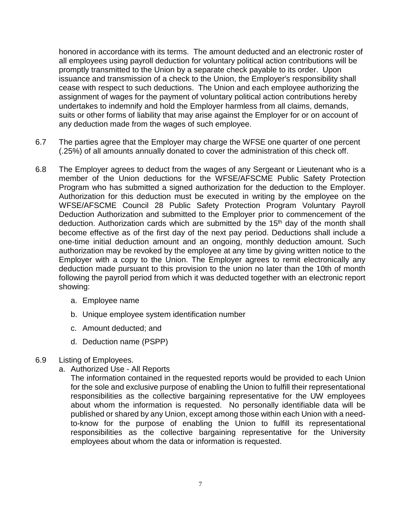honored in accordance with its terms. The amount deducted and an electronic roster of all employees using payroll deduction for voluntary political action contributions will be promptly transmitted to the Union by a separate check payable to its order. Upon issuance and transmission of a check to the Union, the Employer's responsibility shall cease with respect to such deductions. The Union and each employee authorizing the assignment of wages for the payment of voluntary political action contributions hereby undertakes to indemnify and hold the Employer harmless from all claims, demands, suits or other forms of liability that may arise against the Employer for or on account of any deduction made from the wages of such employee.

- 6.7 The parties agree that the Employer may charge the WFSE one quarter of one percent (.25%) of all amounts annually donated to cover the administration of this check off.
- 6.8 The Employer agrees to deduct from the wages of any Sergeant or Lieutenant who is a member of the Union deductions for the WFSE/AFSCME Public Safety Protection Program who has submitted a signed authorization for the deduction to the Employer. Authorization for this deduction must be executed in writing by the employee on the WFSE/AFSCME Council 28 Public Safety Protection Program Voluntary Payroll Deduction Authorization and submitted to the Employer prior to commencement of the deduction. Authorization cards which are submitted by the 15<sup>th</sup> day of the month shall become effective as of the first day of the next pay period. Deductions shall include a one-time initial deduction amount and an ongoing, monthly deduction amount. Such authorization may be revoked by the employee at any time by giving written notice to the Employer with a copy to the Union. The Employer agrees to remit electronically any deduction made pursuant to this provision to the union no later than the 10th of month following the payroll period from which it was deducted together with an electronic report showing:
	- a. Employee name
	- b. Unique employee system identification number
	- c. Amount deducted; and
	- d. Deduction name (PSPP)

### 6.9 Listing of Employees.

a. Authorized Use - All Reports

The information contained in the requested reports would be provided to each Union for the sole and exclusive purpose of enabling the Union to fulfill their representational responsibilities as the collective bargaining representative for the UW employees about whom the information is requested. No personally identifiable data will be published or shared by any Union, except among those within each Union with a needto-know for the purpose of enabling the Union to fulfill its representational responsibilities as the collective bargaining representative for the University employees about whom the data or information is requested.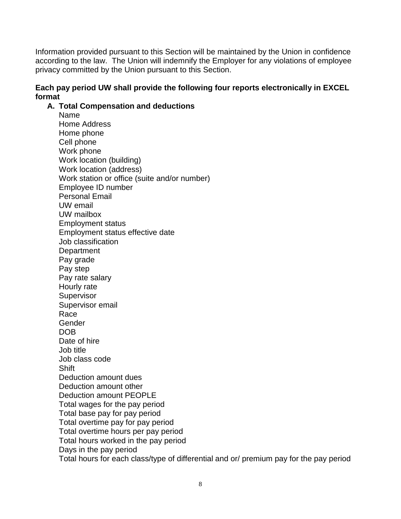Information provided pursuant to this Section will be maintained by the Union in confidence according to the law. The Union will indemnify the Employer for any violations of employee privacy committed by the Union pursuant to this Section.

# **Each pay period UW shall provide the following four reports electronically in EXCEL format**

## **A. Total Compensation and deductions**

Name Home Address Home phone Cell phone Work phone Work location (building) Work location (address) Work station or office (suite and/or number) Employee ID number Personal Email UW email UW mailbox Employment status Employment status effective date Job classification **Department** Pay grade Pay step Pay rate salary Hourly rate **Supervisor** Supervisor email Race Gender DOB Date of hire Job title Job class code **Shift** Deduction amount dues Deduction amount other Deduction amount PEOPLE Total wages for the pay period Total base pay for pay period Total overtime pay for pay period Total overtime hours per pay period Total hours worked in the pay period Days in the pay period Total hours for each class/type of differential and or/ premium pay for the pay period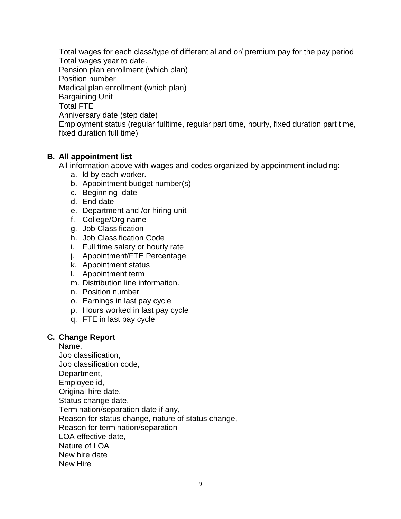Total wages for each class/type of differential and or/ premium pay for the pay period Total wages year to date. Pension plan enrollment (which plan) Position number Medical plan enrollment (which plan) Bargaining Unit Total FTE Anniversary date (step date) Employment status (regular fulltime, regular part time, hourly, fixed duration part time, fixed duration full time)

# **B. All appointment list**

All information above with wages and codes organized by appointment including:

- a. ld by each worker.
- b. Appointment budget number(s)
- c. Beginning date
- d. End date
- e. Department and /or hiring unit
- f. College/Org name
- g. Job Classification
- h. Job Classification Code
- i. Full time salary or hourly rate
- j. Appointment/FTE Percentage
- k. Appointment status
- l. Appointment term
- m. Distribution line information.
- n. Position number
- o. Earnings in last pay cycle
- p. Hours worked in last pay cycle
- q. FTE in last pay cycle

### **C. Change Report**

Name, Job classification, Job classification code, Department, Employee id, Original hire date, Status change date, Termination/separation date if any, Reason for status change, nature of status change, Reason for termination/separation LOA effective date, Nature of LOA New hire date New Hire